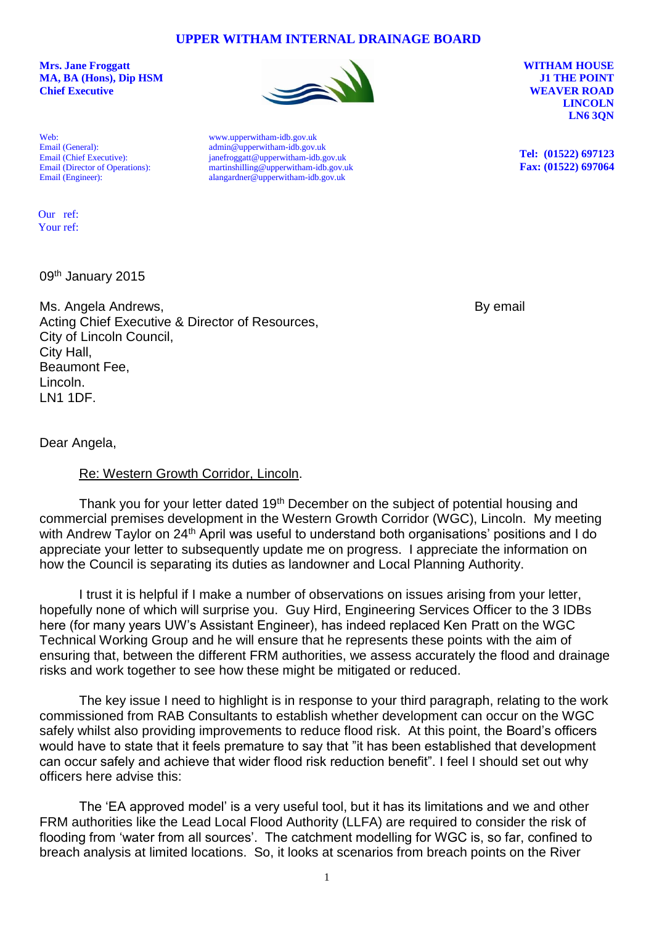The 'EA approved model' is a very useful tool, but it has its limitations and we and other FRM authorities like the Lead Local Flood Authority (LLFA) are required to consider the risk of flooding from 'water from all sources'. The catchment modelling for WGC is, so far, confined to breach analysis at limited locations. So, it looks at scenarios from breach points on the River

1

**UPPER WITHAM INTERNAL DRAINAGE BOARD**

**Mrs. Jane Froggatt WITHAM HOUSE MA, BA (Hons), Dip HSM J1 THE POINT Chief Executive WEAVER ROAD** 

Web: Email (General): Email (Chief Executive): Email (Director of Operations): Email (Engineer):

[www.upperwitham-idb.gov.uk](http://www.upperwitham-idb.gov.uk/) [admin@upperwitham-idb.gov.uk](mailto:admin@upperwitham-idb.gov.uk) [janefroggatt@u](mailto:janefroggatt@witham-3rd-idb.gov.uk)pperwitham-idb.gov.uk [martinshilling@upperwitham-idb.gov.uk](mailto:martinshilling@upperwitham-idb.gov.uk) [alangardner@upperwitham-idb.gov.uk](mailto:alangardner@upperwitham-idb.gov.uk)

**LINCOLN LN6 3QN**

**Tel: (01522) 697123 Fax: (01522) 697064**

09th January 2015 Our ref: Your ref:

Ms. Angela Andrews, and the state of the state of the state of the By email Acting Chief Executive & Director of Resources, City of Lincoln Council, City Hall, Beaumont Fee, Lincoln. LN1 1DF.

Dear Angela,

## Re: Western Growth Corridor, Lincoln.

Thank you for your letter dated 19<sup>th</sup> December on the subject of potential housing and commercial premises development in the Western Growth Corridor (WGC), Lincoln. My meeting with Andrew Taylor on 24<sup>th</sup> April was useful to understand both organisations' positions and I do appreciate your letter to subsequently update me on progress. I appreciate the information on how the Council is separating its duties as landowner and Local Planning Authority.

I trust it is helpful if I make a number of observations on issues arising from your letter, hopefully none of which will surprise you. Guy Hird, Engineering Services Officer to the 3 IDBs here (for many years UW's Assistant Engineer), has indeed replaced Ken Pratt on the WGC Technical Working Group and he will ensure that he represents these points with the aim of ensuring that, between the different FRM authorities, we assess accurately the flood and drainage risks and work together to see how these might be mitigated or reduced.

The key issue I need to highlight is in response to your third paragraph, relating to the work commissioned from RAB Consultants to establish whether development can occur on the WGC safely whilst also providing improvements to reduce flood risk. At this point, the Board's officers would have to state that it feels premature to say that "it has been established that development can occur safely and achieve that wider flood risk reduction benefit". I feel I should set out why officers here advise this:

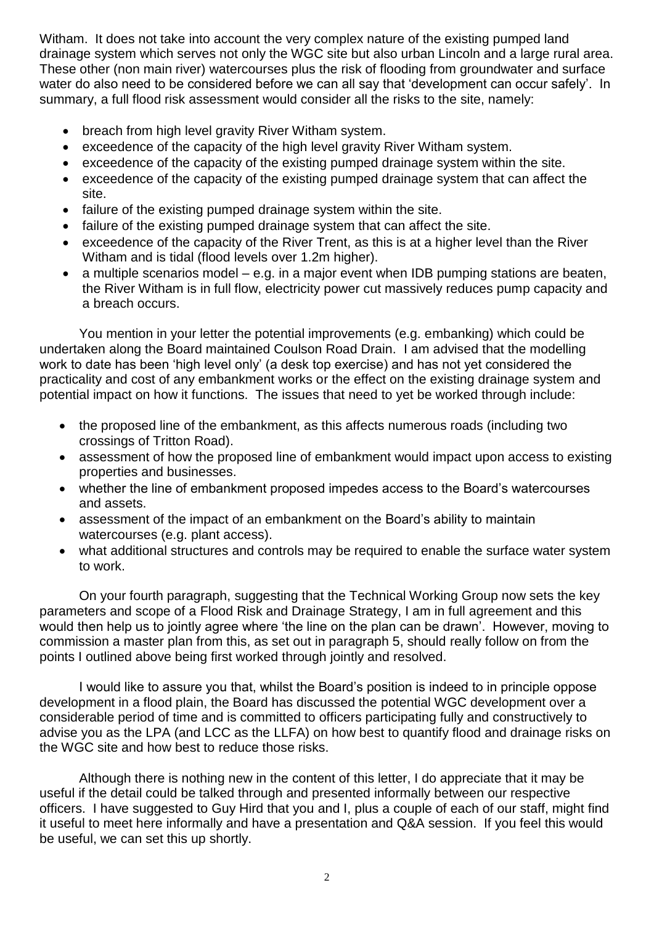Witham. It does not take into account the very complex nature of the existing pumped land drainage system which serves not only the WGC site but also urban Lincoln and a large rural area. These other (non main river) watercourses plus the risk of flooding from groundwater and surface water do also need to be considered before we can all say that 'development can occur safely'. In summary, a full flood risk assessment would consider all the risks to the site, namely:

- breach from high level gravity River Witham system.
- exceedence of the capacity of the high level gravity River Witham system.
- exceedence of the capacity of the existing pumped drainage system within the site.
- exceedence of the capacity of the existing pumped drainage system that can affect the site.
- failure of the existing pumped drainage system within the site.
- failure of the existing pumped drainage system that can affect the site.
- exceedence of the capacity of the River Trent, as this is at a higher level than the River Witham and is tidal (flood levels over 1.2m higher).
- $\bullet$  a multiple scenarios model e.g. in a major event when IDB pumping stations are beaten, the River Witham is in full flow, electricity power cut massively reduces pump capacity and a breach occurs.

You mention in your letter the potential improvements (e.g. embanking) which could be undertaken along the Board maintained Coulson Road Drain. I am advised that the modelling work to date has been 'high level only' (a desk top exercise) and has not yet considered the practicality and cost of any embankment works or the effect on the existing drainage system and potential impact on how it functions. The issues that need to yet be worked through include:

- the proposed line of the embankment, as this affects numerous roads (including two crossings of Tritton Road).
- assessment of how the proposed line of embankment would impact upon access to existing properties and businesses.
- whether the line of embankment proposed impedes access to the Board's watercourses and assets.
- assessment of the impact of an embankment on the Board's ability to maintain watercourses (e.g. plant access).
- what additional structures and controls may be required to enable the surface water system to work.

On your fourth paragraph, suggesting that the Technical Working Group now sets the key parameters and scope of a Flood Risk and Drainage Strategy, I am in full agreement and this would then help us to jointly agree where 'the line on the plan can be drawn'. However, moving to commission a master plan from this, as set out in paragraph 5, should really follow on from the points I outlined above being first worked through jointly and resolved.

I would like to assure you that, whilst the Board's position is indeed to in principle oppose development in a flood plain, the Board has discussed the potential WGC development over a considerable period of time and is committed to officers participating fully and constructively to advise you as the LPA (and LCC as the LLFA) on how best to quantify flood and drainage risks on the WGC site and how best to reduce those risks.

Although there is nothing new in the content of this letter, I do appreciate that it may be useful if the detail could be talked through and presented informally between our respective officers. I have suggested to Guy Hird that you and I, plus a couple of each of our staff, might find it useful to meet here informally and have a presentation and Q&A session. If you feel this would be useful, we can set this up shortly.